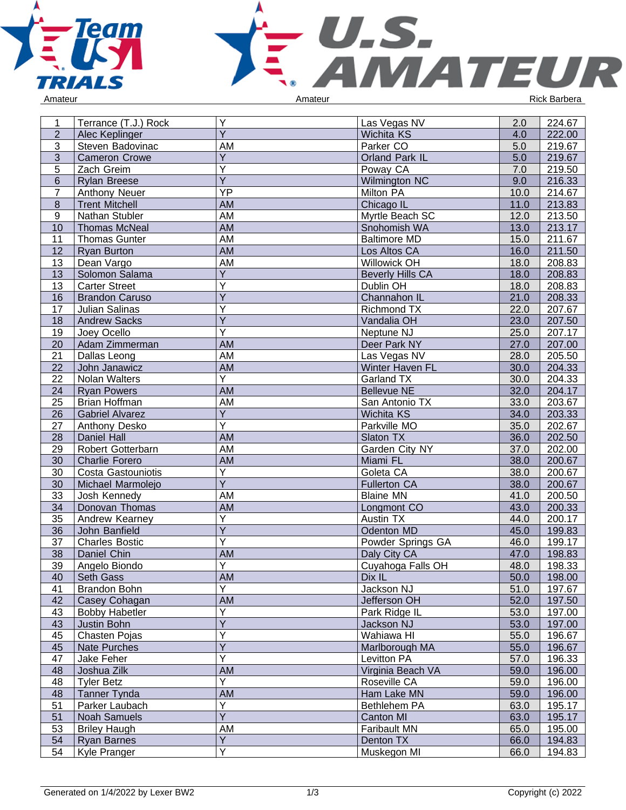



| Ý<br><b>Wichita KS</b><br>222.00<br>$\overline{2}$<br>Alec Keplinger<br>4.0<br>Parker CO<br>219.67<br>3<br>Steven Badovinac<br>AM<br>5.0<br>$\overline{3}$<br>$\overline{5.0}$<br>Ÿ<br>Orland Park IL<br>219.67<br><b>Cameron Crowe</b><br>$\overline{5}$<br>Υ<br>Poway CA<br>7.0<br>219.50<br>Zach Greim<br>$\overline{\mathsf{Y}}$<br>$6\phantom{1}$<br>9.0<br>Wilmington NC<br>216.33<br><b>Rylan Breese</b><br>YP<br>$\overline{7}$<br>214.67<br>Anthony Neuer<br>Milton PA<br>10.0<br>$\overline{8}$<br>11.0<br><b>AM</b><br>213.83<br><b>Trent Mitchell</b><br>Chicago IL<br>$\overline{9}$<br>213.50<br>Nathan Stubler<br>AM<br>Myrtle Beach SC<br>12.0<br>13.0<br>10<br><b>AM</b><br>213.17<br><b>Thomas McNeal</b><br>Snohomish WA<br>11<br>AM<br>15.0<br>211.67<br><b>Thomas Gunter</b><br><b>Baltimore MD</b><br>Los Altos CA<br>12<br><b>Ryan Burton</b><br>AM<br>16.0<br>211.50<br>Willowick OH<br>18.0<br>208.83<br>13<br>Dean Vargo<br>AM<br>Ÿ<br>13<br>18.0<br>208.83<br>Solomon Salama<br><b>Beverly Hills CA</b><br>Υ<br>13<br>Dublin OH<br>208.83<br><b>Carter Street</b><br>18.0<br>$\overline{Y}$<br>21.0<br>16<br>208.33<br><b>Brandon Caruso</b><br>Channahon IL<br>Y<br>207.67<br>17<br>Julian Salinas<br>Richmond TX<br>22.0<br>$\overline{Y}$<br>18<br>207.50<br>23.0<br><b>Andrew Sacks</b><br>Vandalia OH<br>$\overline{\mathsf{Y}}$<br>19<br>Neptune NJ<br>25.0<br>207.17<br>Joey Ocello<br>27.0<br>207.00<br>20<br><b>AM</b><br>Deer Park NY<br>Adam Zimmerman<br>205.50<br>21<br>Dallas Leong<br>AM<br>Las Vegas NV<br>28.0<br>Winter Haven FL<br>30.0<br>204.33<br>22<br>John Janawicz<br>AM<br>Ÿ<br>22<br>30.0<br>204.33<br>Nolan Walters<br>Garland TX<br><b>AM</b><br>32.0<br>24<br><b>Bellevue NE</b><br>204.17<br><b>Ryan Powers</b><br>25<br>AM<br>San Antonio TX<br>33.0<br>203.67<br><b>Brian Hoffman</b><br>$\overline{Y}$<br>34.0<br>26<br>203.33<br><b>Gabriel Alvarez</b><br>Wichita KS<br>$\overline{Y}$<br>27<br>Parkville MO<br>35.0<br>202.67<br>Anthony Desko<br><b>AM</b><br>36.0<br>28<br>Daniel Hall<br>Slaton TX<br>202.50<br>29<br>37.0<br>Robert Gotterbarn<br>AM<br>Garden City NY<br>202.00<br>38.0<br>30<br><b>Charlie Forero</b><br>AM<br>Miami FL<br>200.67<br>Υ<br>Goleta CA<br>38.0<br>200.67<br>30<br>Costa Gastouniotis<br>$\overline{Y}$<br>Michael Marmolejo<br><b>Fullerton CA</b><br>38.0<br>200.67<br>30<br>33<br>AM<br><b>Blaine MN</b><br>41.0<br>200.50<br>Josh Kennedy<br>34<br><b>AM</b><br>43.0<br>Donovan Thomas<br>200.33<br>Longmont CO<br>Υ<br>35<br>Andrew Kearney<br>Austin TX<br>200.17<br>44.0<br>$\overline{Y}$<br>36<br>45.0<br>199.83<br>John Banfield<br>Odenton MD<br>Υ<br>37<br><b>Charles Bostic</b><br>Powder Springs GA<br>46.0<br>199.17<br>38<br>Daniel Chin<br>AM<br>Daly City CA<br>47.0<br>198.83<br>39<br>$\overline{Y}$<br>198.33<br>Angelo Biondo<br>Cuyahoga Falls OH<br>48.0<br>AM<br>Dix IL<br>198.00<br>Seth Gass<br>50.0<br>40<br>Y<br>Jackson NJ<br>51.0<br>197.67<br>41<br><b>Brandon Bohn</b><br>AM<br>Jefferson OH<br>197.50<br>42<br>Casey Cohagan<br>52.0<br>Y<br>43<br>Bobby Habetler<br>Park Ridge IL<br>53.0<br>197.00<br>Ÿ<br>43<br>Justin Bohn<br>53.0<br>197.00<br>Jackson NJ<br>Ý<br>45<br>Wahiawa HI<br>Chasten Pojas<br>55.0<br>196.67<br>Ý<br>45<br>Marlborough MA<br>55.0<br>196.67<br>Nate Purches<br>Y<br>Jake Feher<br>Levitton PA<br>47<br>57.0<br>196.33<br>48<br>AM<br>Virginia Beach VA<br>59.0<br>Joshua Zilk<br>196.00<br>Ÿ<br>48<br><b>Tyler Betz</b><br>Roseville CA<br>59.0<br>196.00<br>48<br><b>Tanner Tynda</b><br>AM<br>Ham Lake MN<br>59.0<br>196.00<br>Υ<br>51<br>Parker Laubach<br>Bethlehem PA<br>63.0<br>195.17<br>$\overline{Y}$<br>195.17<br>51<br><b>Noah Samuels</b><br><b>Canton MI</b><br>63.0<br>53<br><b>Briley Haugh</b><br>Faribault MN<br>65.0<br>AM<br>195.00<br>Ÿ<br>Denton TX<br>66.0<br>194.83<br>54<br><b>Ryan Barnes</b><br>$\overline{\mathsf{Y}}$<br>54<br>Muskegon MI<br>66.0<br>194.83<br>Kyle Pranger | 1 | Terrance (T.J.) Rock | Y | Las Vegas NV | 2.0 | 224.67 |
|----------------------------------------------------------------------------------------------------------------------------------------------------------------------------------------------------------------------------------------------------------------------------------------------------------------------------------------------------------------------------------------------------------------------------------------------------------------------------------------------------------------------------------------------------------------------------------------------------------------------------------------------------------------------------------------------------------------------------------------------------------------------------------------------------------------------------------------------------------------------------------------------------------------------------------------------------------------------------------------------------------------------------------------------------------------------------------------------------------------------------------------------------------------------------------------------------------------------------------------------------------------------------------------------------------------------------------------------------------------------------------------------------------------------------------------------------------------------------------------------------------------------------------------------------------------------------------------------------------------------------------------------------------------------------------------------------------------------------------------------------------------------------------------------------------------------------------------------------------------------------------------------------------------------------------------------------------------------------------------------------------------------------------------------------------------------------------------------------------------------------------------------------------------------------------------------------------------------------------------------------------------------------------------------------------------------------------------------------------------------------------------------------------------------------------------------------------------------------------------------------------------------------------------------------------------------------------------------------------------------------------------------------------------------------------------------------------------------------------------------------------------------------------------------------------------------------------------------------------------------------------------------------------------------------------------------------------------------------------------------------------------------------------------------------------------------------------------------------------------------------------------------------------------------------------------------------------------------------------------------------------------------------------------------------------------------------------------------------------------------------------------------------------------------------------------------------------------------------------------------------------------------------------------------------------------------------------------------------------------------------------------------------------------------------------------------------------------------------------------------------------------------------------------------------------------------------------------------------------------------------------------------------------------------------------------------------------------------------|---|----------------------|---|--------------|-----|--------|
|                                                                                                                                                                                                                                                                                                                                                                                                                                                                                                                                                                                                                                                                                                                                                                                                                                                                                                                                                                                                                                                                                                                                                                                                                                                                                                                                                                                                                                                                                                                                                                                                                                                                                                                                                                                                                                                                                                                                                                                                                                                                                                                                                                                                                                                                                                                                                                                                                                                                                                                                                                                                                                                                                                                                                                                                                                                                                                                                                                                                                                                                                                                                                                                                                                                                                                                                                                                                                                                                                                                                                                                                                                                                                                                                                                                                                                                                                                                                                                            |   |                      |   |              |     |        |
|                                                                                                                                                                                                                                                                                                                                                                                                                                                                                                                                                                                                                                                                                                                                                                                                                                                                                                                                                                                                                                                                                                                                                                                                                                                                                                                                                                                                                                                                                                                                                                                                                                                                                                                                                                                                                                                                                                                                                                                                                                                                                                                                                                                                                                                                                                                                                                                                                                                                                                                                                                                                                                                                                                                                                                                                                                                                                                                                                                                                                                                                                                                                                                                                                                                                                                                                                                                                                                                                                                                                                                                                                                                                                                                                                                                                                                                                                                                                                                            |   |                      |   |              |     |        |
|                                                                                                                                                                                                                                                                                                                                                                                                                                                                                                                                                                                                                                                                                                                                                                                                                                                                                                                                                                                                                                                                                                                                                                                                                                                                                                                                                                                                                                                                                                                                                                                                                                                                                                                                                                                                                                                                                                                                                                                                                                                                                                                                                                                                                                                                                                                                                                                                                                                                                                                                                                                                                                                                                                                                                                                                                                                                                                                                                                                                                                                                                                                                                                                                                                                                                                                                                                                                                                                                                                                                                                                                                                                                                                                                                                                                                                                                                                                                                                            |   |                      |   |              |     |        |
|                                                                                                                                                                                                                                                                                                                                                                                                                                                                                                                                                                                                                                                                                                                                                                                                                                                                                                                                                                                                                                                                                                                                                                                                                                                                                                                                                                                                                                                                                                                                                                                                                                                                                                                                                                                                                                                                                                                                                                                                                                                                                                                                                                                                                                                                                                                                                                                                                                                                                                                                                                                                                                                                                                                                                                                                                                                                                                                                                                                                                                                                                                                                                                                                                                                                                                                                                                                                                                                                                                                                                                                                                                                                                                                                                                                                                                                                                                                                                                            |   |                      |   |              |     |        |
|                                                                                                                                                                                                                                                                                                                                                                                                                                                                                                                                                                                                                                                                                                                                                                                                                                                                                                                                                                                                                                                                                                                                                                                                                                                                                                                                                                                                                                                                                                                                                                                                                                                                                                                                                                                                                                                                                                                                                                                                                                                                                                                                                                                                                                                                                                                                                                                                                                                                                                                                                                                                                                                                                                                                                                                                                                                                                                                                                                                                                                                                                                                                                                                                                                                                                                                                                                                                                                                                                                                                                                                                                                                                                                                                                                                                                                                                                                                                                                            |   |                      |   |              |     |        |
|                                                                                                                                                                                                                                                                                                                                                                                                                                                                                                                                                                                                                                                                                                                                                                                                                                                                                                                                                                                                                                                                                                                                                                                                                                                                                                                                                                                                                                                                                                                                                                                                                                                                                                                                                                                                                                                                                                                                                                                                                                                                                                                                                                                                                                                                                                                                                                                                                                                                                                                                                                                                                                                                                                                                                                                                                                                                                                                                                                                                                                                                                                                                                                                                                                                                                                                                                                                                                                                                                                                                                                                                                                                                                                                                                                                                                                                                                                                                                                            |   |                      |   |              |     |        |
|                                                                                                                                                                                                                                                                                                                                                                                                                                                                                                                                                                                                                                                                                                                                                                                                                                                                                                                                                                                                                                                                                                                                                                                                                                                                                                                                                                                                                                                                                                                                                                                                                                                                                                                                                                                                                                                                                                                                                                                                                                                                                                                                                                                                                                                                                                                                                                                                                                                                                                                                                                                                                                                                                                                                                                                                                                                                                                                                                                                                                                                                                                                                                                                                                                                                                                                                                                                                                                                                                                                                                                                                                                                                                                                                                                                                                                                                                                                                                                            |   |                      |   |              |     |        |
|                                                                                                                                                                                                                                                                                                                                                                                                                                                                                                                                                                                                                                                                                                                                                                                                                                                                                                                                                                                                                                                                                                                                                                                                                                                                                                                                                                                                                                                                                                                                                                                                                                                                                                                                                                                                                                                                                                                                                                                                                                                                                                                                                                                                                                                                                                                                                                                                                                                                                                                                                                                                                                                                                                                                                                                                                                                                                                                                                                                                                                                                                                                                                                                                                                                                                                                                                                                                                                                                                                                                                                                                                                                                                                                                                                                                                                                                                                                                                                            |   |                      |   |              |     |        |
|                                                                                                                                                                                                                                                                                                                                                                                                                                                                                                                                                                                                                                                                                                                                                                                                                                                                                                                                                                                                                                                                                                                                                                                                                                                                                                                                                                                                                                                                                                                                                                                                                                                                                                                                                                                                                                                                                                                                                                                                                                                                                                                                                                                                                                                                                                                                                                                                                                                                                                                                                                                                                                                                                                                                                                                                                                                                                                                                                                                                                                                                                                                                                                                                                                                                                                                                                                                                                                                                                                                                                                                                                                                                                                                                                                                                                                                                                                                                                                            |   |                      |   |              |     |        |
|                                                                                                                                                                                                                                                                                                                                                                                                                                                                                                                                                                                                                                                                                                                                                                                                                                                                                                                                                                                                                                                                                                                                                                                                                                                                                                                                                                                                                                                                                                                                                                                                                                                                                                                                                                                                                                                                                                                                                                                                                                                                                                                                                                                                                                                                                                                                                                                                                                                                                                                                                                                                                                                                                                                                                                                                                                                                                                                                                                                                                                                                                                                                                                                                                                                                                                                                                                                                                                                                                                                                                                                                                                                                                                                                                                                                                                                                                                                                                                            |   |                      |   |              |     |        |
|                                                                                                                                                                                                                                                                                                                                                                                                                                                                                                                                                                                                                                                                                                                                                                                                                                                                                                                                                                                                                                                                                                                                                                                                                                                                                                                                                                                                                                                                                                                                                                                                                                                                                                                                                                                                                                                                                                                                                                                                                                                                                                                                                                                                                                                                                                                                                                                                                                                                                                                                                                                                                                                                                                                                                                                                                                                                                                                                                                                                                                                                                                                                                                                                                                                                                                                                                                                                                                                                                                                                                                                                                                                                                                                                                                                                                                                                                                                                                                            |   |                      |   |              |     |        |
|                                                                                                                                                                                                                                                                                                                                                                                                                                                                                                                                                                                                                                                                                                                                                                                                                                                                                                                                                                                                                                                                                                                                                                                                                                                                                                                                                                                                                                                                                                                                                                                                                                                                                                                                                                                                                                                                                                                                                                                                                                                                                                                                                                                                                                                                                                                                                                                                                                                                                                                                                                                                                                                                                                                                                                                                                                                                                                                                                                                                                                                                                                                                                                                                                                                                                                                                                                                                                                                                                                                                                                                                                                                                                                                                                                                                                                                                                                                                                                            |   |                      |   |              |     |        |
|                                                                                                                                                                                                                                                                                                                                                                                                                                                                                                                                                                                                                                                                                                                                                                                                                                                                                                                                                                                                                                                                                                                                                                                                                                                                                                                                                                                                                                                                                                                                                                                                                                                                                                                                                                                                                                                                                                                                                                                                                                                                                                                                                                                                                                                                                                                                                                                                                                                                                                                                                                                                                                                                                                                                                                                                                                                                                                                                                                                                                                                                                                                                                                                                                                                                                                                                                                                                                                                                                                                                                                                                                                                                                                                                                                                                                                                                                                                                                                            |   |                      |   |              |     |        |
|                                                                                                                                                                                                                                                                                                                                                                                                                                                                                                                                                                                                                                                                                                                                                                                                                                                                                                                                                                                                                                                                                                                                                                                                                                                                                                                                                                                                                                                                                                                                                                                                                                                                                                                                                                                                                                                                                                                                                                                                                                                                                                                                                                                                                                                                                                                                                                                                                                                                                                                                                                                                                                                                                                                                                                                                                                                                                                                                                                                                                                                                                                                                                                                                                                                                                                                                                                                                                                                                                                                                                                                                                                                                                                                                                                                                                                                                                                                                                                            |   |                      |   |              |     |        |
|                                                                                                                                                                                                                                                                                                                                                                                                                                                                                                                                                                                                                                                                                                                                                                                                                                                                                                                                                                                                                                                                                                                                                                                                                                                                                                                                                                                                                                                                                                                                                                                                                                                                                                                                                                                                                                                                                                                                                                                                                                                                                                                                                                                                                                                                                                                                                                                                                                                                                                                                                                                                                                                                                                                                                                                                                                                                                                                                                                                                                                                                                                                                                                                                                                                                                                                                                                                                                                                                                                                                                                                                                                                                                                                                                                                                                                                                                                                                                                            |   |                      |   |              |     |        |
|                                                                                                                                                                                                                                                                                                                                                                                                                                                                                                                                                                                                                                                                                                                                                                                                                                                                                                                                                                                                                                                                                                                                                                                                                                                                                                                                                                                                                                                                                                                                                                                                                                                                                                                                                                                                                                                                                                                                                                                                                                                                                                                                                                                                                                                                                                                                                                                                                                                                                                                                                                                                                                                                                                                                                                                                                                                                                                                                                                                                                                                                                                                                                                                                                                                                                                                                                                                                                                                                                                                                                                                                                                                                                                                                                                                                                                                                                                                                                                            |   |                      |   |              |     |        |
|                                                                                                                                                                                                                                                                                                                                                                                                                                                                                                                                                                                                                                                                                                                                                                                                                                                                                                                                                                                                                                                                                                                                                                                                                                                                                                                                                                                                                                                                                                                                                                                                                                                                                                                                                                                                                                                                                                                                                                                                                                                                                                                                                                                                                                                                                                                                                                                                                                                                                                                                                                                                                                                                                                                                                                                                                                                                                                                                                                                                                                                                                                                                                                                                                                                                                                                                                                                                                                                                                                                                                                                                                                                                                                                                                                                                                                                                                                                                                                            |   |                      |   |              |     |        |
|                                                                                                                                                                                                                                                                                                                                                                                                                                                                                                                                                                                                                                                                                                                                                                                                                                                                                                                                                                                                                                                                                                                                                                                                                                                                                                                                                                                                                                                                                                                                                                                                                                                                                                                                                                                                                                                                                                                                                                                                                                                                                                                                                                                                                                                                                                                                                                                                                                                                                                                                                                                                                                                                                                                                                                                                                                                                                                                                                                                                                                                                                                                                                                                                                                                                                                                                                                                                                                                                                                                                                                                                                                                                                                                                                                                                                                                                                                                                                                            |   |                      |   |              |     |        |
|                                                                                                                                                                                                                                                                                                                                                                                                                                                                                                                                                                                                                                                                                                                                                                                                                                                                                                                                                                                                                                                                                                                                                                                                                                                                                                                                                                                                                                                                                                                                                                                                                                                                                                                                                                                                                                                                                                                                                                                                                                                                                                                                                                                                                                                                                                                                                                                                                                                                                                                                                                                                                                                                                                                                                                                                                                                                                                                                                                                                                                                                                                                                                                                                                                                                                                                                                                                                                                                                                                                                                                                                                                                                                                                                                                                                                                                                                                                                                                            |   |                      |   |              |     |        |
|                                                                                                                                                                                                                                                                                                                                                                                                                                                                                                                                                                                                                                                                                                                                                                                                                                                                                                                                                                                                                                                                                                                                                                                                                                                                                                                                                                                                                                                                                                                                                                                                                                                                                                                                                                                                                                                                                                                                                                                                                                                                                                                                                                                                                                                                                                                                                                                                                                                                                                                                                                                                                                                                                                                                                                                                                                                                                                                                                                                                                                                                                                                                                                                                                                                                                                                                                                                                                                                                                                                                                                                                                                                                                                                                                                                                                                                                                                                                                                            |   |                      |   |              |     |        |
|                                                                                                                                                                                                                                                                                                                                                                                                                                                                                                                                                                                                                                                                                                                                                                                                                                                                                                                                                                                                                                                                                                                                                                                                                                                                                                                                                                                                                                                                                                                                                                                                                                                                                                                                                                                                                                                                                                                                                                                                                                                                                                                                                                                                                                                                                                                                                                                                                                                                                                                                                                                                                                                                                                                                                                                                                                                                                                                                                                                                                                                                                                                                                                                                                                                                                                                                                                                                                                                                                                                                                                                                                                                                                                                                                                                                                                                                                                                                                                            |   |                      |   |              |     |        |
|                                                                                                                                                                                                                                                                                                                                                                                                                                                                                                                                                                                                                                                                                                                                                                                                                                                                                                                                                                                                                                                                                                                                                                                                                                                                                                                                                                                                                                                                                                                                                                                                                                                                                                                                                                                                                                                                                                                                                                                                                                                                                                                                                                                                                                                                                                                                                                                                                                                                                                                                                                                                                                                                                                                                                                                                                                                                                                                                                                                                                                                                                                                                                                                                                                                                                                                                                                                                                                                                                                                                                                                                                                                                                                                                                                                                                                                                                                                                                                            |   |                      |   |              |     |        |
|                                                                                                                                                                                                                                                                                                                                                                                                                                                                                                                                                                                                                                                                                                                                                                                                                                                                                                                                                                                                                                                                                                                                                                                                                                                                                                                                                                                                                                                                                                                                                                                                                                                                                                                                                                                                                                                                                                                                                                                                                                                                                                                                                                                                                                                                                                                                                                                                                                                                                                                                                                                                                                                                                                                                                                                                                                                                                                                                                                                                                                                                                                                                                                                                                                                                                                                                                                                                                                                                                                                                                                                                                                                                                                                                                                                                                                                                                                                                                                            |   |                      |   |              |     |        |
|                                                                                                                                                                                                                                                                                                                                                                                                                                                                                                                                                                                                                                                                                                                                                                                                                                                                                                                                                                                                                                                                                                                                                                                                                                                                                                                                                                                                                                                                                                                                                                                                                                                                                                                                                                                                                                                                                                                                                                                                                                                                                                                                                                                                                                                                                                                                                                                                                                                                                                                                                                                                                                                                                                                                                                                                                                                                                                                                                                                                                                                                                                                                                                                                                                                                                                                                                                                                                                                                                                                                                                                                                                                                                                                                                                                                                                                                                                                                                                            |   |                      |   |              |     |        |
|                                                                                                                                                                                                                                                                                                                                                                                                                                                                                                                                                                                                                                                                                                                                                                                                                                                                                                                                                                                                                                                                                                                                                                                                                                                                                                                                                                                                                                                                                                                                                                                                                                                                                                                                                                                                                                                                                                                                                                                                                                                                                                                                                                                                                                                                                                                                                                                                                                                                                                                                                                                                                                                                                                                                                                                                                                                                                                                                                                                                                                                                                                                                                                                                                                                                                                                                                                                                                                                                                                                                                                                                                                                                                                                                                                                                                                                                                                                                                                            |   |                      |   |              |     |        |
|                                                                                                                                                                                                                                                                                                                                                                                                                                                                                                                                                                                                                                                                                                                                                                                                                                                                                                                                                                                                                                                                                                                                                                                                                                                                                                                                                                                                                                                                                                                                                                                                                                                                                                                                                                                                                                                                                                                                                                                                                                                                                                                                                                                                                                                                                                                                                                                                                                                                                                                                                                                                                                                                                                                                                                                                                                                                                                                                                                                                                                                                                                                                                                                                                                                                                                                                                                                                                                                                                                                                                                                                                                                                                                                                                                                                                                                                                                                                                                            |   |                      |   |              |     |        |
|                                                                                                                                                                                                                                                                                                                                                                                                                                                                                                                                                                                                                                                                                                                                                                                                                                                                                                                                                                                                                                                                                                                                                                                                                                                                                                                                                                                                                                                                                                                                                                                                                                                                                                                                                                                                                                                                                                                                                                                                                                                                                                                                                                                                                                                                                                                                                                                                                                                                                                                                                                                                                                                                                                                                                                                                                                                                                                                                                                                                                                                                                                                                                                                                                                                                                                                                                                                                                                                                                                                                                                                                                                                                                                                                                                                                                                                                                                                                                                            |   |                      |   |              |     |        |
|                                                                                                                                                                                                                                                                                                                                                                                                                                                                                                                                                                                                                                                                                                                                                                                                                                                                                                                                                                                                                                                                                                                                                                                                                                                                                                                                                                                                                                                                                                                                                                                                                                                                                                                                                                                                                                                                                                                                                                                                                                                                                                                                                                                                                                                                                                                                                                                                                                                                                                                                                                                                                                                                                                                                                                                                                                                                                                                                                                                                                                                                                                                                                                                                                                                                                                                                                                                                                                                                                                                                                                                                                                                                                                                                                                                                                                                                                                                                                                            |   |                      |   |              |     |        |
|                                                                                                                                                                                                                                                                                                                                                                                                                                                                                                                                                                                                                                                                                                                                                                                                                                                                                                                                                                                                                                                                                                                                                                                                                                                                                                                                                                                                                                                                                                                                                                                                                                                                                                                                                                                                                                                                                                                                                                                                                                                                                                                                                                                                                                                                                                                                                                                                                                                                                                                                                                                                                                                                                                                                                                                                                                                                                                                                                                                                                                                                                                                                                                                                                                                                                                                                                                                                                                                                                                                                                                                                                                                                                                                                                                                                                                                                                                                                                                            |   |                      |   |              |     |        |
|                                                                                                                                                                                                                                                                                                                                                                                                                                                                                                                                                                                                                                                                                                                                                                                                                                                                                                                                                                                                                                                                                                                                                                                                                                                                                                                                                                                                                                                                                                                                                                                                                                                                                                                                                                                                                                                                                                                                                                                                                                                                                                                                                                                                                                                                                                                                                                                                                                                                                                                                                                                                                                                                                                                                                                                                                                                                                                                                                                                                                                                                                                                                                                                                                                                                                                                                                                                                                                                                                                                                                                                                                                                                                                                                                                                                                                                                                                                                                                            |   |                      |   |              |     |        |
|                                                                                                                                                                                                                                                                                                                                                                                                                                                                                                                                                                                                                                                                                                                                                                                                                                                                                                                                                                                                                                                                                                                                                                                                                                                                                                                                                                                                                                                                                                                                                                                                                                                                                                                                                                                                                                                                                                                                                                                                                                                                                                                                                                                                                                                                                                                                                                                                                                                                                                                                                                                                                                                                                                                                                                                                                                                                                                                                                                                                                                                                                                                                                                                                                                                                                                                                                                                                                                                                                                                                                                                                                                                                                                                                                                                                                                                                                                                                                                            |   |                      |   |              |     |        |
|                                                                                                                                                                                                                                                                                                                                                                                                                                                                                                                                                                                                                                                                                                                                                                                                                                                                                                                                                                                                                                                                                                                                                                                                                                                                                                                                                                                                                                                                                                                                                                                                                                                                                                                                                                                                                                                                                                                                                                                                                                                                                                                                                                                                                                                                                                                                                                                                                                                                                                                                                                                                                                                                                                                                                                                                                                                                                                                                                                                                                                                                                                                                                                                                                                                                                                                                                                                                                                                                                                                                                                                                                                                                                                                                                                                                                                                                                                                                                                            |   |                      |   |              |     |        |
|                                                                                                                                                                                                                                                                                                                                                                                                                                                                                                                                                                                                                                                                                                                                                                                                                                                                                                                                                                                                                                                                                                                                                                                                                                                                                                                                                                                                                                                                                                                                                                                                                                                                                                                                                                                                                                                                                                                                                                                                                                                                                                                                                                                                                                                                                                                                                                                                                                                                                                                                                                                                                                                                                                                                                                                                                                                                                                                                                                                                                                                                                                                                                                                                                                                                                                                                                                                                                                                                                                                                                                                                                                                                                                                                                                                                                                                                                                                                                                            |   |                      |   |              |     |        |
|                                                                                                                                                                                                                                                                                                                                                                                                                                                                                                                                                                                                                                                                                                                                                                                                                                                                                                                                                                                                                                                                                                                                                                                                                                                                                                                                                                                                                                                                                                                                                                                                                                                                                                                                                                                                                                                                                                                                                                                                                                                                                                                                                                                                                                                                                                                                                                                                                                                                                                                                                                                                                                                                                                                                                                                                                                                                                                                                                                                                                                                                                                                                                                                                                                                                                                                                                                                                                                                                                                                                                                                                                                                                                                                                                                                                                                                                                                                                                                            |   |                      |   |              |     |        |
|                                                                                                                                                                                                                                                                                                                                                                                                                                                                                                                                                                                                                                                                                                                                                                                                                                                                                                                                                                                                                                                                                                                                                                                                                                                                                                                                                                                                                                                                                                                                                                                                                                                                                                                                                                                                                                                                                                                                                                                                                                                                                                                                                                                                                                                                                                                                                                                                                                                                                                                                                                                                                                                                                                                                                                                                                                                                                                                                                                                                                                                                                                                                                                                                                                                                                                                                                                                                                                                                                                                                                                                                                                                                                                                                                                                                                                                                                                                                                                            |   |                      |   |              |     |        |
|                                                                                                                                                                                                                                                                                                                                                                                                                                                                                                                                                                                                                                                                                                                                                                                                                                                                                                                                                                                                                                                                                                                                                                                                                                                                                                                                                                                                                                                                                                                                                                                                                                                                                                                                                                                                                                                                                                                                                                                                                                                                                                                                                                                                                                                                                                                                                                                                                                                                                                                                                                                                                                                                                                                                                                                                                                                                                                                                                                                                                                                                                                                                                                                                                                                                                                                                                                                                                                                                                                                                                                                                                                                                                                                                                                                                                                                                                                                                                                            |   |                      |   |              |     |        |
|                                                                                                                                                                                                                                                                                                                                                                                                                                                                                                                                                                                                                                                                                                                                                                                                                                                                                                                                                                                                                                                                                                                                                                                                                                                                                                                                                                                                                                                                                                                                                                                                                                                                                                                                                                                                                                                                                                                                                                                                                                                                                                                                                                                                                                                                                                                                                                                                                                                                                                                                                                                                                                                                                                                                                                                                                                                                                                                                                                                                                                                                                                                                                                                                                                                                                                                                                                                                                                                                                                                                                                                                                                                                                                                                                                                                                                                                                                                                                                            |   |                      |   |              |     |        |
|                                                                                                                                                                                                                                                                                                                                                                                                                                                                                                                                                                                                                                                                                                                                                                                                                                                                                                                                                                                                                                                                                                                                                                                                                                                                                                                                                                                                                                                                                                                                                                                                                                                                                                                                                                                                                                                                                                                                                                                                                                                                                                                                                                                                                                                                                                                                                                                                                                                                                                                                                                                                                                                                                                                                                                                                                                                                                                                                                                                                                                                                                                                                                                                                                                                                                                                                                                                                                                                                                                                                                                                                                                                                                                                                                                                                                                                                                                                                                                            |   |                      |   |              |     |        |
|                                                                                                                                                                                                                                                                                                                                                                                                                                                                                                                                                                                                                                                                                                                                                                                                                                                                                                                                                                                                                                                                                                                                                                                                                                                                                                                                                                                                                                                                                                                                                                                                                                                                                                                                                                                                                                                                                                                                                                                                                                                                                                                                                                                                                                                                                                                                                                                                                                                                                                                                                                                                                                                                                                                                                                                                                                                                                                                                                                                                                                                                                                                                                                                                                                                                                                                                                                                                                                                                                                                                                                                                                                                                                                                                                                                                                                                                                                                                                                            |   |                      |   |              |     |        |
|                                                                                                                                                                                                                                                                                                                                                                                                                                                                                                                                                                                                                                                                                                                                                                                                                                                                                                                                                                                                                                                                                                                                                                                                                                                                                                                                                                                                                                                                                                                                                                                                                                                                                                                                                                                                                                                                                                                                                                                                                                                                                                                                                                                                                                                                                                                                                                                                                                                                                                                                                                                                                                                                                                                                                                                                                                                                                                                                                                                                                                                                                                                                                                                                                                                                                                                                                                                                                                                                                                                                                                                                                                                                                                                                                                                                                                                                                                                                                                            |   |                      |   |              |     |        |
|                                                                                                                                                                                                                                                                                                                                                                                                                                                                                                                                                                                                                                                                                                                                                                                                                                                                                                                                                                                                                                                                                                                                                                                                                                                                                                                                                                                                                                                                                                                                                                                                                                                                                                                                                                                                                                                                                                                                                                                                                                                                                                                                                                                                                                                                                                                                                                                                                                                                                                                                                                                                                                                                                                                                                                                                                                                                                                                                                                                                                                                                                                                                                                                                                                                                                                                                                                                                                                                                                                                                                                                                                                                                                                                                                                                                                                                                                                                                                                            |   |                      |   |              |     |        |
|                                                                                                                                                                                                                                                                                                                                                                                                                                                                                                                                                                                                                                                                                                                                                                                                                                                                                                                                                                                                                                                                                                                                                                                                                                                                                                                                                                                                                                                                                                                                                                                                                                                                                                                                                                                                                                                                                                                                                                                                                                                                                                                                                                                                                                                                                                                                                                                                                                                                                                                                                                                                                                                                                                                                                                                                                                                                                                                                                                                                                                                                                                                                                                                                                                                                                                                                                                                                                                                                                                                                                                                                                                                                                                                                                                                                                                                                                                                                                                            |   |                      |   |              |     |        |
|                                                                                                                                                                                                                                                                                                                                                                                                                                                                                                                                                                                                                                                                                                                                                                                                                                                                                                                                                                                                                                                                                                                                                                                                                                                                                                                                                                                                                                                                                                                                                                                                                                                                                                                                                                                                                                                                                                                                                                                                                                                                                                                                                                                                                                                                                                                                                                                                                                                                                                                                                                                                                                                                                                                                                                                                                                                                                                                                                                                                                                                                                                                                                                                                                                                                                                                                                                                                                                                                                                                                                                                                                                                                                                                                                                                                                                                                                                                                                                            |   |                      |   |              |     |        |
|                                                                                                                                                                                                                                                                                                                                                                                                                                                                                                                                                                                                                                                                                                                                                                                                                                                                                                                                                                                                                                                                                                                                                                                                                                                                                                                                                                                                                                                                                                                                                                                                                                                                                                                                                                                                                                                                                                                                                                                                                                                                                                                                                                                                                                                                                                                                                                                                                                                                                                                                                                                                                                                                                                                                                                                                                                                                                                                                                                                                                                                                                                                                                                                                                                                                                                                                                                                                                                                                                                                                                                                                                                                                                                                                                                                                                                                                                                                                                                            |   |                      |   |              |     |        |
|                                                                                                                                                                                                                                                                                                                                                                                                                                                                                                                                                                                                                                                                                                                                                                                                                                                                                                                                                                                                                                                                                                                                                                                                                                                                                                                                                                                                                                                                                                                                                                                                                                                                                                                                                                                                                                                                                                                                                                                                                                                                                                                                                                                                                                                                                                                                                                                                                                                                                                                                                                                                                                                                                                                                                                                                                                                                                                                                                                                                                                                                                                                                                                                                                                                                                                                                                                                                                                                                                                                                                                                                                                                                                                                                                                                                                                                                                                                                                                            |   |                      |   |              |     |        |
|                                                                                                                                                                                                                                                                                                                                                                                                                                                                                                                                                                                                                                                                                                                                                                                                                                                                                                                                                                                                                                                                                                                                                                                                                                                                                                                                                                                                                                                                                                                                                                                                                                                                                                                                                                                                                                                                                                                                                                                                                                                                                                                                                                                                                                                                                                                                                                                                                                                                                                                                                                                                                                                                                                                                                                                                                                                                                                                                                                                                                                                                                                                                                                                                                                                                                                                                                                                                                                                                                                                                                                                                                                                                                                                                                                                                                                                                                                                                                                            |   |                      |   |              |     |        |
|                                                                                                                                                                                                                                                                                                                                                                                                                                                                                                                                                                                                                                                                                                                                                                                                                                                                                                                                                                                                                                                                                                                                                                                                                                                                                                                                                                                                                                                                                                                                                                                                                                                                                                                                                                                                                                                                                                                                                                                                                                                                                                                                                                                                                                                                                                                                                                                                                                                                                                                                                                                                                                                                                                                                                                                                                                                                                                                                                                                                                                                                                                                                                                                                                                                                                                                                                                                                                                                                                                                                                                                                                                                                                                                                                                                                                                                                                                                                                                            |   |                      |   |              |     |        |
|                                                                                                                                                                                                                                                                                                                                                                                                                                                                                                                                                                                                                                                                                                                                                                                                                                                                                                                                                                                                                                                                                                                                                                                                                                                                                                                                                                                                                                                                                                                                                                                                                                                                                                                                                                                                                                                                                                                                                                                                                                                                                                                                                                                                                                                                                                                                                                                                                                                                                                                                                                                                                                                                                                                                                                                                                                                                                                                                                                                                                                                                                                                                                                                                                                                                                                                                                                                                                                                                                                                                                                                                                                                                                                                                                                                                                                                                                                                                                                            |   |                      |   |              |     |        |
|                                                                                                                                                                                                                                                                                                                                                                                                                                                                                                                                                                                                                                                                                                                                                                                                                                                                                                                                                                                                                                                                                                                                                                                                                                                                                                                                                                                                                                                                                                                                                                                                                                                                                                                                                                                                                                                                                                                                                                                                                                                                                                                                                                                                                                                                                                                                                                                                                                                                                                                                                                                                                                                                                                                                                                                                                                                                                                                                                                                                                                                                                                                                                                                                                                                                                                                                                                                                                                                                                                                                                                                                                                                                                                                                                                                                                                                                                                                                                                            |   |                      |   |              |     |        |
|                                                                                                                                                                                                                                                                                                                                                                                                                                                                                                                                                                                                                                                                                                                                                                                                                                                                                                                                                                                                                                                                                                                                                                                                                                                                                                                                                                                                                                                                                                                                                                                                                                                                                                                                                                                                                                                                                                                                                                                                                                                                                                                                                                                                                                                                                                                                                                                                                                                                                                                                                                                                                                                                                                                                                                                                                                                                                                                                                                                                                                                                                                                                                                                                                                                                                                                                                                                                                                                                                                                                                                                                                                                                                                                                                                                                                                                                                                                                                                            |   |                      |   |              |     |        |
|                                                                                                                                                                                                                                                                                                                                                                                                                                                                                                                                                                                                                                                                                                                                                                                                                                                                                                                                                                                                                                                                                                                                                                                                                                                                                                                                                                                                                                                                                                                                                                                                                                                                                                                                                                                                                                                                                                                                                                                                                                                                                                                                                                                                                                                                                                                                                                                                                                                                                                                                                                                                                                                                                                                                                                                                                                                                                                                                                                                                                                                                                                                                                                                                                                                                                                                                                                                                                                                                                                                                                                                                                                                                                                                                                                                                                                                                                                                                                                            |   |                      |   |              |     |        |
|                                                                                                                                                                                                                                                                                                                                                                                                                                                                                                                                                                                                                                                                                                                                                                                                                                                                                                                                                                                                                                                                                                                                                                                                                                                                                                                                                                                                                                                                                                                                                                                                                                                                                                                                                                                                                                                                                                                                                                                                                                                                                                                                                                                                                                                                                                                                                                                                                                                                                                                                                                                                                                                                                                                                                                                                                                                                                                                                                                                                                                                                                                                                                                                                                                                                                                                                                                                                                                                                                                                                                                                                                                                                                                                                                                                                                                                                                                                                                                            |   |                      |   |              |     |        |
|                                                                                                                                                                                                                                                                                                                                                                                                                                                                                                                                                                                                                                                                                                                                                                                                                                                                                                                                                                                                                                                                                                                                                                                                                                                                                                                                                                                                                                                                                                                                                                                                                                                                                                                                                                                                                                                                                                                                                                                                                                                                                                                                                                                                                                                                                                                                                                                                                                                                                                                                                                                                                                                                                                                                                                                                                                                                                                                                                                                                                                                                                                                                                                                                                                                                                                                                                                                                                                                                                                                                                                                                                                                                                                                                                                                                                                                                                                                                                                            |   |                      |   |              |     |        |
|                                                                                                                                                                                                                                                                                                                                                                                                                                                                                                                                                                                                                                                                                                                                                                                                                                                                                                                                                                                                                                                                                                                                                                                                                                                                                                                                                                                                                                                                                                                                                                                                                                                                                                                                                                                                                                                                                                                                                                                                                                                                                                                                                                                                                                                                                                                                                                                                                                                                                                                                                                                                                                                                                                                                                                                                                                                                                                                                                                                                                                                                                                                                                                                                                                                                                                                                                                                                                                                                                                                                                                                                                                                                                                                                                                                                                                                                                                                                                                            |   |                      |   |              |     |        |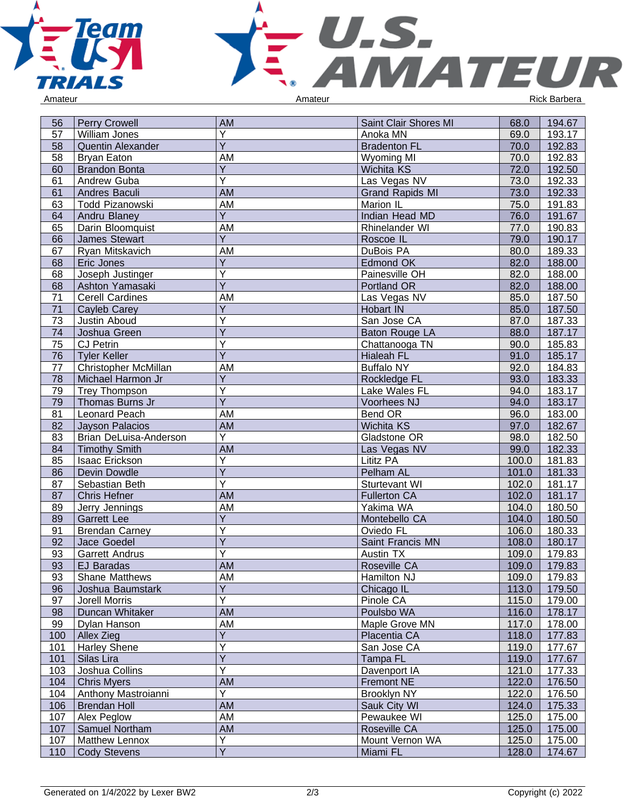



| 56  | <b>Perry Crowell</b>   | AM                      | Saint Clair Shores MI  | 68.0  | 194.67 |
|-----|------------------------|-------------------------|------------------------|-------|--------|
| 57  | William Jones          | Y                       | Anoka MN               | 69.0  | 193.17 |
| 58  | Quentin Alexander      | $\overline{Y}$          | <b>Bradenton FL</b>    | 70.0  | 192.83 |
| 58  | <b>Bryan Eaton</b>     | AM                      | <b>Wyoming MI</b>      | 70.0  | 192.83 |
| 60  | <b>Brandon Bonta</b>   | Y                       | Wichita KS             | 72.0  | 192.50 |
| 61  | Andrew Guba            | $\overline{\mathsf{Y}}$ | Las Vegas NV           | 73.0  | 192.33 |
| 61  | Andres Baculi          | <b>AM</b>               | <b>Grand Rapids MI</b> | 73.0  | 192.33 |
| 63  | Todd Pizanowski        | AM                      | Marion IL              | 75.0  | 191.83 |
| 64  | Andru Blaney           | $\overline{Y}$          | Indian Head MD         | 76.0  | 191.67 |
| 65  | Darin Bloomquist       | AM                      | Rhinelander WI         | 77.0  | 190.83 |
| 66  | <b>James Stewart</b>   | $\overline{Y}$          | Roscoe IL              | 79.0  | 190.17 |
| 67  | Ryan Mitskavich        | AM                      | DuBois PA              | 80.0  | 189.33 |
| 68  | Eric Jones             | $\overline{Y}$          | Edmond OK              | 82.0  | 188.00 |
| 68  | Joseph Justinger       | $\overline{\mathsf{Y}}$ | Painesville OH         | 82.0  | 188.00 |
| 68  | Ashton Yamasaki        | $\overline{\mathsf{Y}}$ | Portland OR            | 82.0  | 188.00 |
| 71  | <b>Cerell Cardines</b> | AM                      | Las Vegas NV           | 85.0  | 187.50 |
| 71  | Cayleb Carey           | Y                       | Hobart IN              | 85.0  | 187.50 |
| 73  | Justin Aboud           | Υ                       | San Jose CA            | 87.0  | 187.33 |
| 74  | Joshua Green           | $\overline{\mathsf{Y}}$ | Baton Rouge LA         | 88.0  | 187.17 |
| 75  | <b>CJ Petrin</b>       | Y                       | Chattanooga TN         | 90.0  | 185.83 |
| 76  | <b>Tyler Keller</b>    | $\overline{Y}$          | <b>Hialeah FL</b>      | 91.0  | 185.17 |
| 77  | Christopher McMillan   | AM                      | <b>Buffalo NY</b>      | 92.0  | 184.83 |
| 78  | Michael Harmon Jr      | Y                       | Rockledge FL           | 93.0  | 183.33 |
| 79  | Trey Thompson          | $\overline{\mathsf{Y}}$ | Lake Wales FL          | 94.0  | 183.17 |
| 79  | Thomas Burns Jr        | $\overline{Y}$          | Voorhees NJ            | 94.0  | 183.17 |
| 81  | Leonard Peach          | AM                      | Bend OR                | 96.0  | 183.00 |
| 82  | <b>Jayson Palacios</b> | AM                      | <b>Wichita KS</b>      | 97.0  | 182.67 |
| 83  | Brian DeLuisa-Anderson | Υ                       | Gladstone OR           | 98.0  | 182.50 |
| 84  | <b>Timothy Smith</b>   | AM                      | Las Vegas NV           | 99.0  | 182.33 |
| 85  | Isaac Erickson         | Υ                       | Lititz PA              | 100.0 | 181.83 |
| 86  | Devin Dowdle           | $\overline{Y}$          | Pelham AL              | 101.0 | 181.33 |
| 87  | Sebastian Beth         | $\overline{\mathsf{Y}}$ | Sturtevant WI          | 102.0 | 181.17 |
| 87  | <b>Chris Hefner</b>    | <b>AM</b>               | <b>Fullerton CA</b>    | 102.0 | 181.17 |
| 89  | Jerry Jennings         | AM                      | Yakima WA              | 104.0 | 180.50 |
| 89  | <b>Garrett Lee</b>     | $\overline{Y}$          | Montebello CA          | 104.0 | 180.50 |
| 91  | <b>Brendan Carney</b>  | Υ                       | Oviedo FL              | 106.0 | 180.33 |
| 92  | Jace Goedel            | Y                       | Saint Francis MN       | 108.0 | 180.17 |
| 93  | <b>Garrett Andrus</b>  | Y                       | Austin TX              | 109.0 | 179.83 |
| 93  | <b>EJ Baradas</b>      | <b>AM</b>               | Roseville CA           | 109.0 | 179.83 |
| 93  | <b>Shane Matthews</b>  | <u>AM</u>               | Hamilton NJ            | 109.0 | 179.83 |
| 96  | Joshua Baumstark       | $\overline{Y}$          | Chicago IL             | 113.0 | 179.50 |
| 97  | Jorell Morris          | $\overline{\mathsf{Y}}$ | Pinole CA              | 115.0 | 179.00 |
| 98  | Duncan Whitaker        | <b>AM</b>               | Poulsbo WA             | 116.0 | 178.17 |
| 99  | Dylan Hanson           | AM                      | Maple Grove MN         | 117.0 | 178.00 |
| 100 | Allex Zieg             | $\overline{Y}$          | Placentia CA           | 118.0 | 177.83 |
| 101 | <b>Harley Shene</b>    | Y                       | San Jose CA            | 119.0 | 177.67 |
| 101 | Silas Lira             | $\overline{\mathsf{Y}}$ | Tampa FL               | 119.0 | 177.67 |
| 103 | Joshua Collins         | $\overline{Y}$          | Davenport IA           | 121.0 | 177.33 |
| 104 | <b>Chris Myers</b>     | <b>AM</b>               | Fremont NE             | 122.0 | 176.50 |
| 104 | Anthony Mastroianni    | $\overline{Y}$          | Brooklyn NY            | 122.0 | 176.50 |
| 106 | <b>Brendan Holl</b>    | AM                      | Sauk City WI           | 124.0 | 175.33 |
| 107 | Alex Peglow            | AM                      | Pewaukee WI            | 125.0 | 175.00 |
| 107 | Samuel Northam         | AM                      | Roseville CA           | 125.0 | 175.00 |
| 107 | Matthew Lennox         | Y                       | Mount Vernon WA        | 125.0 | 175.00 |
| 110 | <b>Cody Stevens</b>    | $\overline{Y}$          | Miami FL               | 128.0 | 174.67 |